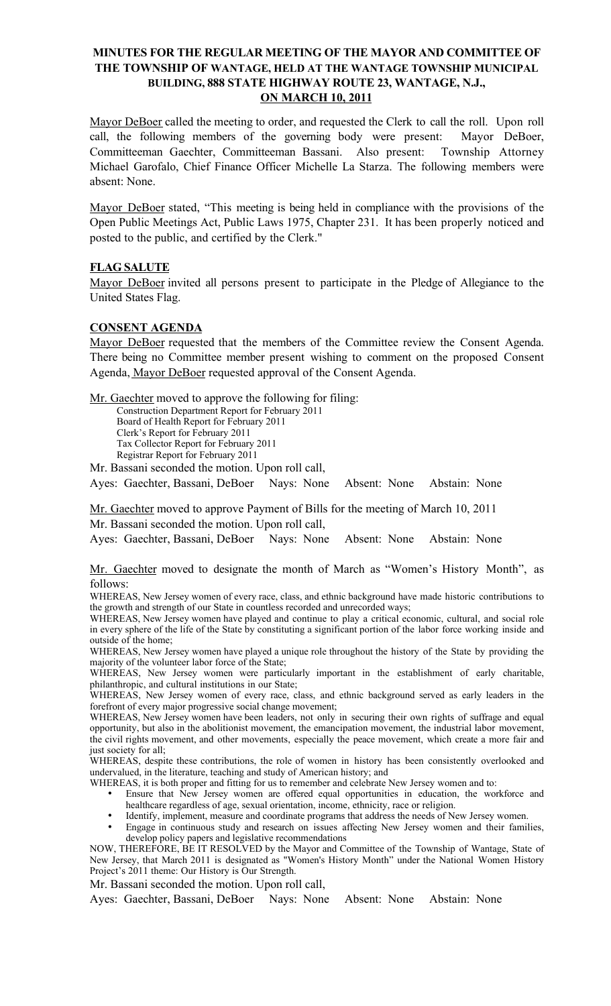# MINUTES FOR THE REGULAR MEETING OF THE MAYOR AND COMMITTEE OF THE TOWNSHIP OF WANTAGE, HELD AT THE WANTAGE TOWNSHIP MUNICIPAL BUILDING, 888 STATE HIGHWAY ROUTE 23, WANTAGE, N.J., ON MARCH 10, 2011

Mayor DeBoer called the meeting to order, and requested the Clerk to call the roll. Upon roll call, the following members of the governing body were present: Mayor DeBoer, Committeeman Gaechter, Committeeman Bassani. Also present: Township Attorney Michael Garofalo, Chief Finance Officer Michelle La Starza. The following members were absent: None.

Mayor DeBoer stated, "This meeting is being held in compliance with the provisions of the Open Public Meetings Act, Public Laws 1975, Chapter 231. It has been properly noticed and posted to the public, and certified by the Clerk."

## FLAG SALUTE

Mayor DeBoer invited all persons present to participate in the Pledge of Allegiance to the United States Flag.

### CONSENT AGENDA

Mayor DeBoer requested that the members of the Committee review the Consent Agenda. There being no Committee member present wishing to comment on the proposed Consent Agenda, Mayor DeBoer requested approval of the Consent Agenda.

Mr. Gaechter moved to approve the following for filing:

Construction Department Report for February 2011 Board of Health Report for February 2011 Clerk's Report for February 2011 Tax Collector Report for February 2011 Registrar Report for February 2011

Mr. Bassani seconded the motion. Upon roll call,

Ayes: Gaechter, Bassani, DeBoer Nays: None Absent: None Abstain: None

Mr. Gaechter moved to approve Payment of Bills for the meeting of March 10, 2011 Mr. Bassani seconded the motion. Upon roll call,

Ayes: Gaechter, Bassani, DeBoer Nays: None Absent: None Abstain: None

Mr. Gaechter moved to designate the month of March as "Women's History Month", as follows:

WHEREAS, New Jersey women of every race, class, and ethnic background have made historic contributions to the growth and strength of our State in countless recorded and unrecorded ways;

WHEREAS, New Jersey women have played and continue to play a critical economic, cultural, and social role in every sphere of the life of the State by constituting a significant portion of the labor force working inside and outside of the home;

WHEREAS, New Jersey women have played a unique role throughout the history of the State by providing the majority of the volunteer labor force of the State;

WHEREAS, New Jersey women were particularly important in the establishment of early charitable, philanthropic, and cultural institutions in our State;

WHEREAS, New Jersey women of every race, class, and ethnic background served as early leaders in the forefront of every major progressive social change movement;

WHEREAS, New Jersey women have been leaders, not only in securing their own rights of suffrage and equal opportunity, but also in the abolitionist movement, the emancipation movement, the industrial labor movement, the civil rights movement, and other movements, especially the peace movement, which create a more fair and just society for all;

WHEREAS, despite these contributions, the role of women in history has been consistently overlooked and undervalued, in the literature, teaching and study of American history; and

WHEREAS, it is both proper and fitting for us to remember and celebrate New Jersey women and to:

- Ensure that New Jersey women are offered equal opportunities in education, the workforce and healthcare regardless of age, sexual orientation, income, ethnicity, race or religion.
- Identify, implement, measure and coordinate programs that address the needs of New Jersey women. • Engage in continuous study and research on issues affecting New Jersey women and their families,

develop policy papers and legislative recommendations NOW, THEREFORE, BE IT RESOLVED by the Mayor and Committee of the Township of Wantage, State of New Jersey, that March 2011 is designated as "Women's History Month" under the National Women History Project's 2011 theme: Our History is Our Strength.

Mr. Bassani seconded the motion. Upon roll call,

Ayes: Gaechter, Bassani, DeBoer Nays: None Absent: None Abstain: None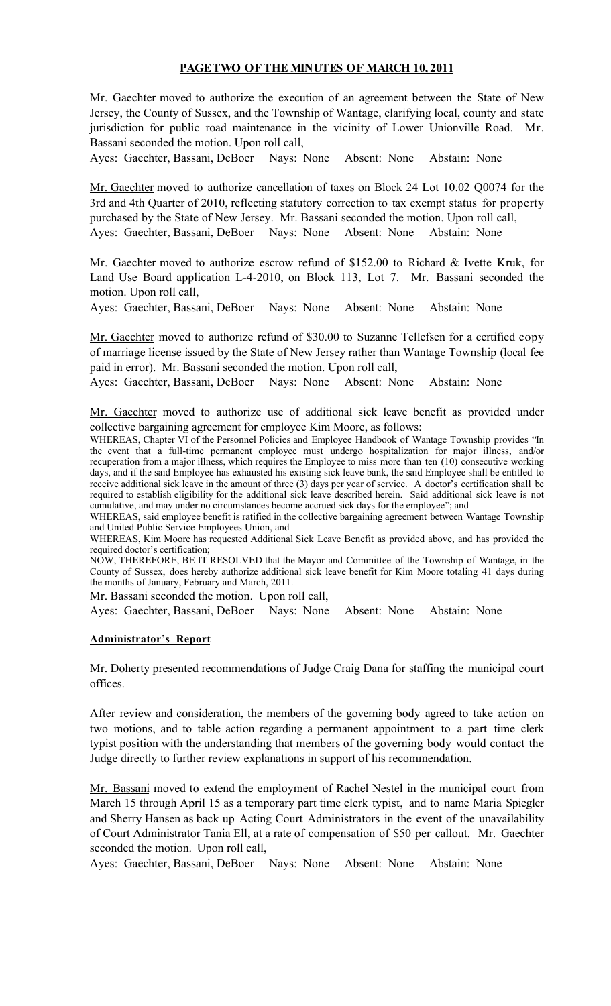# PAGETWO OFTHE MINUTES OF MARCH 10, 2011

Mr. Gaechter moved to authorize the execution of an agreement between the State of New Jersey, the County of Sussex, and the Township of Wantage, clarifying local, county and state jurisdiction for public road maintenance in the vicinity of Lower Unionville Road. Mr. Bassani seconded the motion. Upon roll call,

Ayes: Gaechter, Bassani, DeBoer Nays: None Absent: None Abstain: None

Mr. Gaechter moved to authorize cancellation of taxes on Block 24 Lot 10.02 Q0074 for the 3rd and 4th Quarter of 2010, reflecting statutory correction to tax exempt status for property purchased by the State of New Jersey. Mr. Bassani seconded the motion. Upon roll call, Ayes: Gaechter, Bassani, DeBoer Nays: None Absent: None Abstain: None

Mr. Gaechter moved to authorize escrow refund of \$152.00 to Richard & Ivette Kruk, for Land Use Board application L-4-2010, on Block 113, Lot 7. Mr. Bassani seconded the motion. Upon roll call,

Ayes: Gaechter, Bassani, DeBoer Nays: None Absent: None Abstain: None

Mr. Gaechter moved to authorize refund of \$30.00 to Suzanne Tellefsen for a certified copy of marriage license issued by the State of New Jersey rather than Wantage Township (local fee paid in error). Mr. Bassani seconded the motion. Upon roll call,

Ayes: Gaechter, Bassani, DeBoer Nays: None Absent: None Abstain: None

Mr. Gaechter moved to authorize use of additional sick leave benefit as provided under collective bargaining agreement for employee Kim Moore, as follows:

WHEREAS, Chapter VI of the Personnel Policies and Employee Handbook of Wantage Township provides "In the event that a full-time permanent employee must undergo hospitalization for major illness, and/or recuperation from a major illness, which requires the Employee to miss more than ten (10) consecutive working days, and if the said Employee has exhausted his existing sick leave bank, the said Employee shall be entitled to receive additional sick leave in the amount of three (3) days per year of service. A doctor's certification shall be required to establish eligibility for the additional sick leave described herein. Said additional sick leave is not cumulative, and may under no circumstances become accrued sick days for the employee"; and

WHEREAS, said employee benefit is ratified in the collective bargaining agreement between Wantage Township and United Public Service Employees Union, and

WHEREAS, Kim Moore has requested Additional Sick Leave Benefit as provided above, and has provided the required doctor's certification;

NOW, THEREFORE, BE IT RESOLVED that the Mayor and Committee of the Township of Wantage, in the County of Sussex, does hereby authorize additional sick leave benefit for Kim Moore totaling 41 days during the months of January, February and March, 2011.

Mr. Bassani seconded the motion. Upon roll call,

Ayes: Gaechter, Bassani, DeBoer Nays: None Absent: None Abstain: None

#### Administrator's Report

Mr. Doherty presented recommendations of Judge Craig Dana for staffing the municipal court offices.

After review and consideration, the members of the governing body agreed to take action on two motions, and to table action regarding a permanent appointment to a part time clerk typist position with the understanding that members of the governing body would contact the Judge directly to further review explanations in support of his recommendation.

Mr. Bassani moved to extend the employment of Rachel Nestel in the municipal court from March 15 through April 15 as a temporary part time clerk typist, and to name Maria Spiegler and Sherry Hansen as back up Acting Court Administrators in the event of the unavailability of Court Administrator Tania Ell, at a rate of compensation of \$50 per callout. Mr. Gaechter seconded the motion. Upon roll call,

Ayes: Gaechter, Bassani, DeBoer Nays: None Absent: None Abstain: None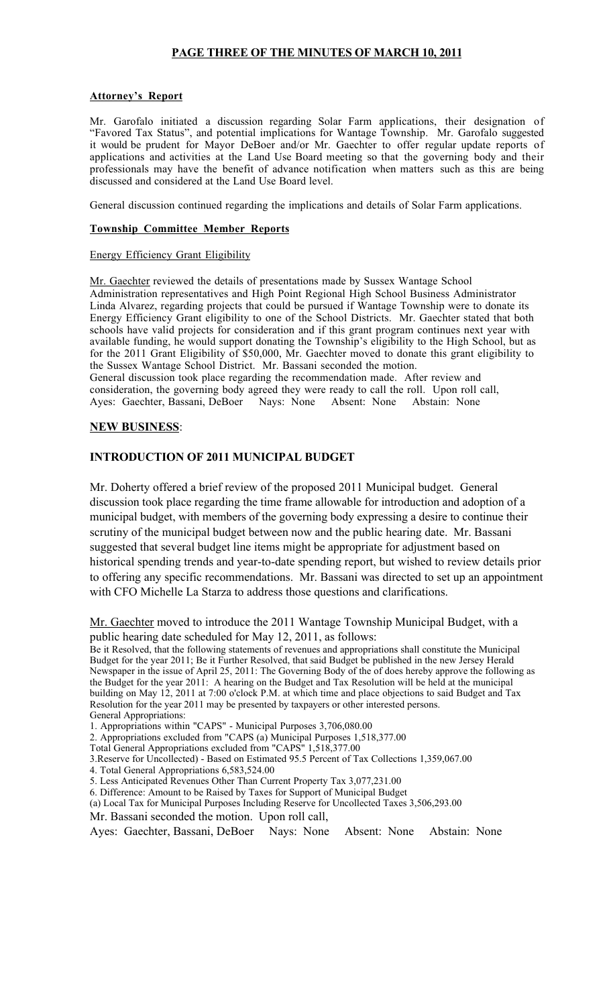# PAGE THREE OF THE MINUTES OF MARCH 10, 2011

#### Attorney's Report

Mr. Garofalo initiated a discussion regarding Solar Farm applications, their designation of "Favored Tax Status", and potential implications for Wantage Township. Mr. Garofalo suggested it would be prudent for Mayor DeBoer and/or Mr. Gaechter to offer regular update reports of applications and activities at the Land Use Board meeting so that the governing body and their professionals may have the benefit of advance notification when matters such as this are being discussed and considered at the Land Use Board level.

General discussion continued regarding the implications and details of Solar Farm applications.

#### Township Committee Member Reports

#### Energy Efficiency Grant Eligibility

Mr. Gaechter reviewed the details of presentations made by Sussex Wantage School Administration representatives and High Point Regional High School Business Administrator Linda Alvarez, regarding projects that could be pursued if Wantage Township were to donate its Energy Efficiency Grant eligibility to one of the School Districts. Mr. Gaechter stated that both schools have valid projects for consideration and if this grant program continues next year with available funding, he would support donating the Township's eligibility to the High School, but as for the 2011 Grant Eligibility of \$50,000, Mr. Gaechter moved to donate this grant eligibility to the Sussex Wantage School District. Mr. Bassani seconded the motion. General discussion took place regarding the recommendation made. After review and consideration, the governing body agreed they were ready to call the roll. Upon roll call, Ayes: Gaechter, Bassani, DeBoer Nays: None Absent: None Abstain: None Ayes: Gaechter, Bassani, DeBoer Nays: None Absent: None Abstain: None

#### NEW BUSINESS:

### INTRODUCTION OF 2011 MUNICIPAL BUDGET

Mr. Doherty offered a brief review of the proposed 2011 Municipal budget. General discussion took place regarding the time frame allowable for introduction and adoption of a municipal budget, with members of the governing body expressing a desire to continue their scrutiny of the municipal budget between now and the public hearing date. Mr. Bassani suggested that several budget line items might be appropriate for adjustment based on historical spending trends and year-to-date spending report, but wished to review details prior to offering any specific recommendations. Mr. Bassani was directed to set up an appointment with CFO Michelle La Starza to address those questions and clarifications.

Mr. Gaechter moved to introduce the 2011 Wantage Township Municipal Budget, with a public hearing date scheduled for May 12, 2011, as follows:

Be it Resolved, that the following statements of revenues and appropriations shall constitute the Municipal Budget for the year 2011; Be it Further Resolved, that said Budget be published in the new Jersey Herald Newspaper in the issue of April 25, 2011: The Governing Body of the of does hereby approve the following as the Budget for the year 2011: A hearing on the Budget and Tax Resolution will be held at the municipal building on May 12, 2011 at 7:00 o'clock P.M. at which time and place objections to said Budget and Tax Resolution for the year 2011 may be presented by taxpayers or other interested persons. General Appropriations:

1. Appropriations within "CAPS" - Municipal Purposes 3,706,080.00

2. Appropriations excluded from "CAPS (a) Municipal Purposes 1,518,377.00

Total General Appropriations excluded from "CAPS" 1,518,377.00

3.Reserve for Uncollected) - Based on Estimated 95.5 Percent of Tax Collections 1,359,067.00

4. Total General Appropriations 6,583,524.00

5. Less Anticipated Revenues Other Than Current Property Tax 3,077,231.00

6. Difference: Amount to be Raised by Taxes for Support of Municipal Budget

(a) Local Tax for Municipal Purposes Including Reserve for Uncollected Taxes 3,506,293.00

Mr. Bassani seconded the motion. Upon roll call,

Ayes: Gaechter, Bassani, DeBoer Nays: None Absent: None Abstain: None